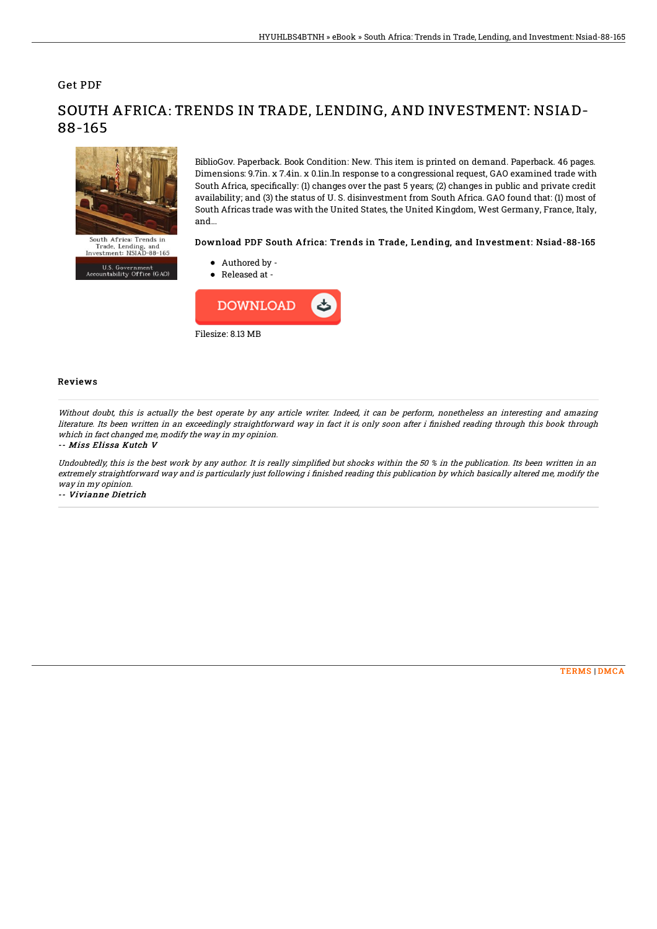## Get PDF

88-165

# South Africa: Trends in

Trade, Lending, and<br>Investment: NSIAD-88-165 U.S. Government<br>Accountability Office (GAO) BiblioGov. Paperback. Book Condition: New. This item is printed on demand. Paperback. 46 pages. Dimensions: 9.7in. x 7.4in. x 0.1in.In response to a congressional request, GAO examined trade with South Africa, specifically: (1) changes over the past 5 years; (2) changes in public and private credit availability; and (3) the status of U. S. disinvestment from South Africa. GAO found that: (1) most of South Africas trade was with the United States, the United Kingdom, West Germany, France, Italy, and...

### Download PDF South Africa: Trends in Trade, Lending, and Investment: Nsiad-88-165

- Authored by -
- Released at -



### Reviews

Without doubt, this is actually the best operate by any article writer. Indeed, it can be perform, nonetheless an interesting and amazing literature. Its been written in an exceedingly straightforward way in fact it is only soon after i finished reading through this book through which in fact changed me, modify the way in my opinion.

SOUTH AFRICA: TRENDS IN TRADE, LENDING, AND INVESTMENT: NSIAD-

### -- Miss Elissa Kutch V

Undoubtedly, this is the best work by any author. It is really simplified but shocks within the 50 % in the publication. Its been written in an extremely straightforward way and is particularly just following i finished reading this publication by which basically altered me, modify the way in my opinion.

-- Vivianne Dietrich